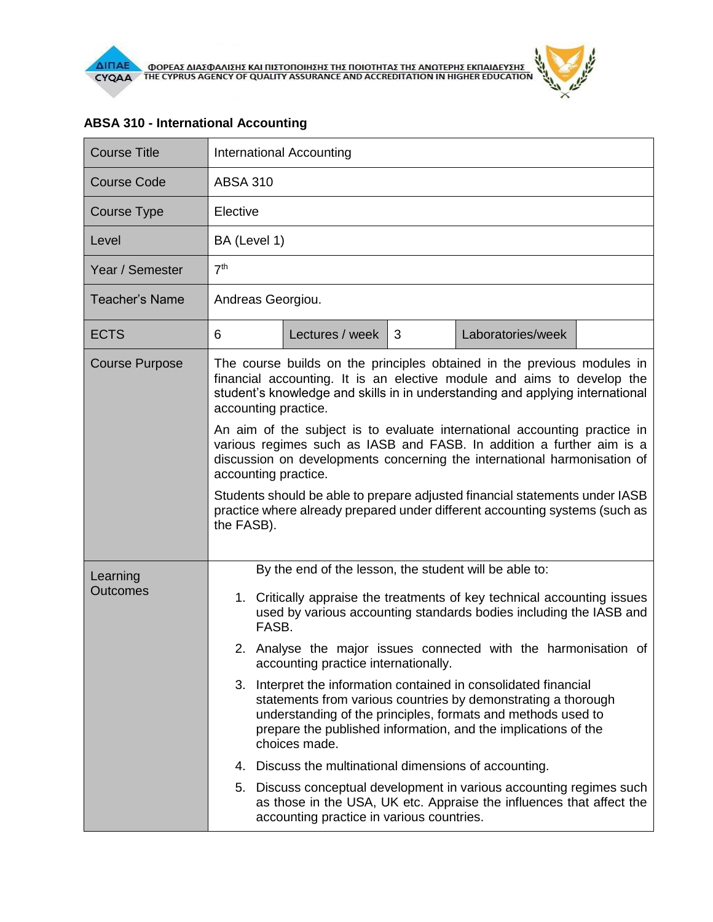| <b>Course Title</b>         | International Accounting                                                                                                                                                                                                                                                                |                 |   |                   |  |  |  |
|-----------------------------|-----------------------------------------------------------------------------------------------------------------------------------------------------------------------------------------------------------------------------------------------------------------------------------------|-----------------|---|-------------------|--|--|--|
| <b>Course Code</b>          | <b>ABSA 310</b>                                                                                                                                                                                                                                                                         |                 |   |                   |  |  |  |
| Course Type                 | Elective                                                                                                                                                                                                                                                                                |                 |   |                   |  |  |  |
| Level                       | BA (Level 1)                                                                                                                                                                                                                                                                            |                 |   |                   |  |  |  |
| Year / Semester             | 7 <sup>th</sup>                                                                                                                                                                                                                                                                         |                 |   |                   |  |  |  |
| <b>Teacher's Name</b>       | Andreas Georgiou.                                                                                                                                                                                                                                                                       |                 |   |                   |  |  |  |
| <b>ECTS</b>                 | 6                                                                                                                                                                                                                                                                                       | Lectures / week | 3 | Laboratories/week |  |  |  |
| <b>Course Purpose</b>       | The course builds on the principles obtained in the previous modules in<br>financial accounting. It is an elective module and aims to develop the<br>student's knowledge and skills in in understanding and applying international<br>accounting practice.                              |                 |   |                   |  |  |  |
|                             | An aim of the subject is to evaluate international accounting practice in<br>various regimes such as IASB and FASB. In addition a further aim is a<br>discussion on developments concerning the international harmonisation of<br>accounting practice.                                  |                 |   |                   |  |  |  |
|                             | Students should be able to prepare adjusted financial statements under IASB<br>practice where already prepared under different accounting systems (such as<br>the FASB).                                                                                                                |                 |   |                   |  |  |  |
| Learning<br><b>Outcomes</b> | By the end of the lesson, the student will be able to:                                                                                                                                                                                                                                  |                 |   |                   |  |  |  |
|                             | 1. Critically appraise the treatments of key technical accounting issues<br>used by various accounting standards bodies including the IASB and<br>FASB.                                                                                                                                 |                 |   |                   |  |  |  |
|                             | 2. Analyse the major issues connected with the harmonisation of<br>accounting practice internationally.                                                                                                                                                                                 |                 |   |                   |  |  |  |
|                             | Interpret the information contained in consolidated financial<br>3.<br>statements from various countries by demonstrating a thorough<br>understanding of the principles, formats and methods used to<br>prepare the published information, and the implications of the<br>choices made. |                 |   |                   |  |  |  |
|                             | 4. Discuss the multinational dimensions of accounting.                                                                                                                                                                                                                                  |                 |   |                   |  |  |  |
|                             | 5. Discuss conceptual development in various accounting regimes such<br>as those in the USA, UK etc. Appraise the influences that affect the<br>accounting practice in various countries.                                                                                               |                 |   |                   |  |  |  |

## **ABSA 310 - International Accounting**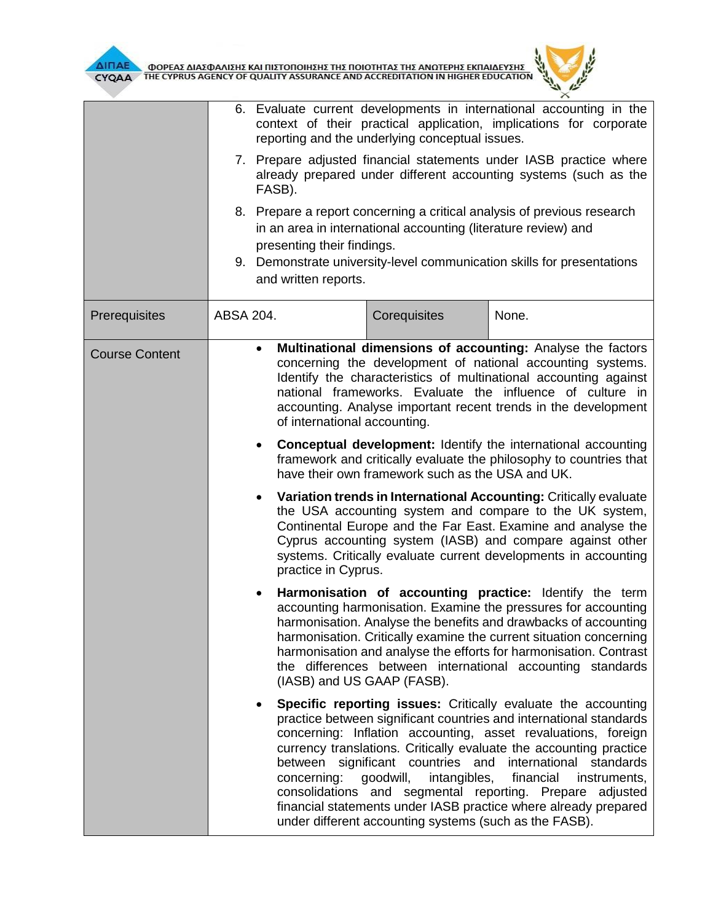

**AIFIAE OPEAE AIAE DATE KAI HIETOHOIHEHE THE HOIOTHTAE THE ANOTEPHE EKHAIAEYEHE** 

| CYQAA                 | THE CYPRUS AGENCY OF QUALITY ASSURANCE AND ACCREDITATION IN HIGHER EDUCATION                                                                                                                                                                                                                                                                                                                                                                                                                                                                                                                                                                                                                                                                                                               |                                                                                                                                                                                                |                                                                                                                                                                                                                                                                                                                                                                                                                      |  |  |  |  |  |
|-----------------------|--------------------------------------------------------------------------------------------------------------------------------------------------------------------------------------------------------------------------------------------------------------------------------------------------------------------------------------------------------------------------------------------------------------------------------------------------------------------------------------------------------------------------------------------------------------------------------------------------------------------------------------------------------------------------------------------------------------------------------------------------------------------------------------------|------------------------------------------------------------------------------------------------------------------------------------------------------------------------------------------------|----------------------------------------------------------------------------------------------------------------------------------------------------------------------------------------------------------------------------------------------------------------------------------------------------------------------------------------------------------------------------------------------------------------------|--|--|--|--|--|
|                       |                                                                                                                                                                                                                                                                                                                                                                                                                                                                                                                                                                                                                                                                                                                                                                                            | 6. Evaluate current developments in international accounting in the<br>context of their practical application, implications for corporate<br>reporting and the underlying conceptual issues.   |                                                                                                                                                                                                                                                                                                                                                                                                                      |  |  |  |  |  |
|                       | FASB).                                                                                                                                                                                                                                                                                                                                                                                                                                                                                                                                                                                                                                                                                                                                                                                     | 7. Prepare adjusted financial statements under IASB practice where<br>already prepared under different accounting systems (such as the                                                         |                                                                                                                                                                                                                                                                                                                                                                                                                      |  |  |  |  |  |
|                       |                                                                                                                                                                                                                                                                                                                                                                                                                                                                                                                                                                                                                                                                                                                                                                                            | 8. Prepare a report concerning a critical analysis of previous research<br>in an area in international accounting (literature review) and<br>presenting their findings.                        |                                                                                                                                                                                                                                                                                                                                                                                                                      |  |  |  |  |  |
|                       |                                                                                                                                                                                                                                                                                                                                                                                                                                                                                                                                                                                                                                                                                                                                                                                            | 9. Demonstrate university-level communication skills for presentations<br>and written reports.                                                                                                 |                                                                                                                                                                                                                                                                                                                                                                                                                      |  |  |  |  |  |
| Prerequisites         | ABSA 204.                                                                                                                                                                                                                                                                                                                                                                                                                                                                                                                                                                                                                                                                                                                                                                                  | Corequisites                                                                                                                                                                                   | None.                                                                                                                                                                                                                                                                                                                                                                                                                |  |  |  |  |  |
| <b>Course Content</b> | Multinational dimensions of accounting: Analyse the factors<br>$\bullet$<br>concerning the development of national accounting systems.<br>Identify the characteristics of multinational accounting against<br>national frameworks. Evaluate the influence of culture in<br>accounting. Analyse important recent trends in the development<br>of international accounting.                                                                                                                                                                                                                                                                                                                                                                                                                  |                                                                                                                                                                                                |                                                                                                                                                                                                                                                                                                                                                                                                                      |  |  |  |  |  |
|                       |                                                                                                                                                                                                                                                                                                                                                                                                                                                                                                                                                                                                                                                                                                                                                                                            | <b>Conceptual development:</b> Identify the international accounting<br>framework and critically evaluate the philosophy to countries that<br>have their own framework such as the USA and UK. |                                                                                                                                                                                                                                                                                                                                                                                                                      |  |  |  |  |  |
|                       | Variation trends in International Accounting: Critically evaluate<br>the USA accounting system and compare to the UK system,<br>Continental Europe and the Far East. Examine and analyse the<br>Cyprus accounting system (IASB) and compare against other<br>systems. Critically evaluate current developments in accounting<br>practice in Cyprus.<br>Harmonisation of accounting practice: Identify the term<br>accounting harmonisation. Examine the pressures for accounting<br>harmonisation. Analyse the benefits and drawbacks of accounting<br>harmonisation. Critically examine the current situation concerning<br>harmonisation and analyse the efforts for harmonisation. Contrast<br>the differences between international accounting standards<br>(IASB) and US GAAP (FASB). |                                                                                                                                                                                                |                                                                                                                                                                                                                                                                                                                                                                                                                      |  |  |  |  |  |
|                       |                                                                                                                                                                                                                                                                                                                                                                                                                                                                                                                                                                                                                                                                                                                                                                                            |                                                                                                                                                                                                |                                                                                                                                                                                                                                                                                                                                                                                                                      |  |  |  |  |  |
|                       | concerning:                                                                                                                                                                                                                                                                                                                                                                                                                                                                                                                                                                                                                                                                                                                                                                                | between significant countries and<br>goodwill,<br>intangibles,<br>consolidations and segmental reporting. Prepare<br>under different accounting systems (such as the FASB).                    | Specific reporting issues: Critically evaluate the accounting<br>practice between significant countries and international standards<br>concerning: Inflation accounting, asset revaluations, foreign<br>currency translations. Critically evaluate the accounting practice<br>international<br>standards<br>financial<br>instruments,<br>adjusted<br>financial statements under IASB practice where already prepared |  |  |  |  |  |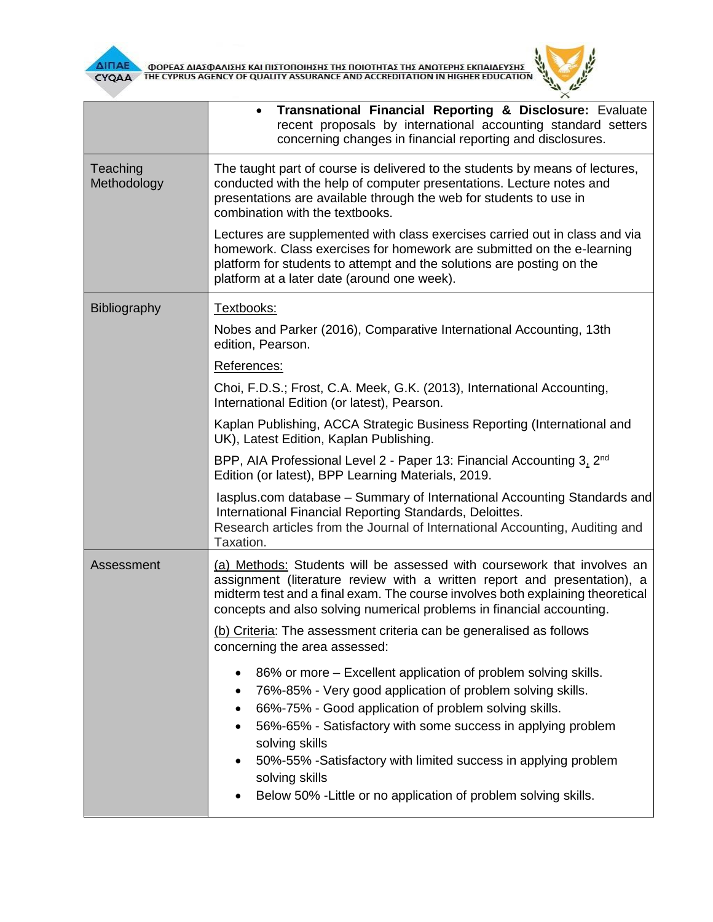

 $\overline{L}$  $\times$ 

|                         | <b>Transnational Financial Reporting &amp; Disclosure:</b> Evaluate<br>recent proposals by international accounting standard setters<br>concerning changes in financial reporting and disclosures.                                                                                                                                                                              |  |  |  |  |
|-------------------------|---------------------------------------------------------------------------------------------------------------------------------------------------------------------------------------------------------------------------------------------------------------------------------------------------------------------------------------------------------------------------------|--|--|--|--|
| Teaching<br>Methodology | The taught part of course is delivered to the students by means of lectures,<br>conducted with the help of computer presentations. Lecture notes and<br>presentations are available through the web for students to use in<br>combination with the textbooks.                                                                                                                   |  |  |  |  |
|                         | Lectures are supplemented with class exercises carried out in class and via<br>homework. Class exercises for homework are submitted on the e-learning<br>platform for students to attempt and the solutions are posting on the<br>platform at a later date (around one week).                                                                                                   |  |  |  |  |
| <b>Bibliography</b>     | Textbooks:                                                                                                                                                                                                                                                                                                                                                                      |  |  |  |  |
|                         | Nobes and Parker (2016), Comparative International Accounting, 13th<br>edition, Pearson.                                                                                                                                                                                                                                                                                        |  |  |  |  |
|                         | References:                                                                                                                                                                                                                                                                                                                                                                     |  |  |  |  |
|                         | Choi, F.D.S.; Frost, C.A. Meek, G.K. (2013), International Accounting,<br>International Edition (or latest), Pearson.                                                                                                                                                                                                                                                           |  |  |  |  |
|                         | Kaplan Publishing, ACCA Strategic Business Reporting (International and<br>UK), Latest Edition, Kaplan Publishing.                                                                                                                                                                                                                                                              |  |  |  |  |
|                         | BPP, AIA Professional Level 2 - Paper 13: Financial Accounting 3, 2 <sup>nd</sup><br>Edition (or latest), BPP Learning Materials, 2019.                                                                                                                                                                                                                                         |  |  |  |  |
|                         | lasplus.com database - Summary of International Accounting Standards and<br>International Financial Reporting Standards, Deloittes.<br>Research articles from the Journal of International Accounting, Auditing and<br>Taxation.                                                                                                                                                |  |  |  |  |
| Assessment              | (a) Methods: Students will be assessed with coursework that involves an<br>assignment (literature review with a written report and presentation), a<br>midterm test and a final exam. The course involves both explaining theoretical<br>concepts and also solving numerical problems in financial accounting.                                                                  |  |  |  |  |
|                         | (b) Criteria: The assessment criteria can be generalised as follows<br>concerning the area assessed:                                                                                                                                                                                                                                                                            |  |  |  |  |
|                         | 86% or more – Excellent application of problem solving skills.<br>٠<br>76%-85% - Very good application of problem solving skills.<br>٠<br>66%-75% - Good application of problem solving skills.<br>٠<br>56%-65% - Satisfactory with some success in applying problem<br>٠<br>solving skills<br>50%-55% -Satisfactory with limited success in applying problem<br>solving skills |  |  |  |  |
|                         | Below 50% - Little or no application of problem solving skills.                                                                                                                                                                                                                                                                                                                 |  |  |  |  |